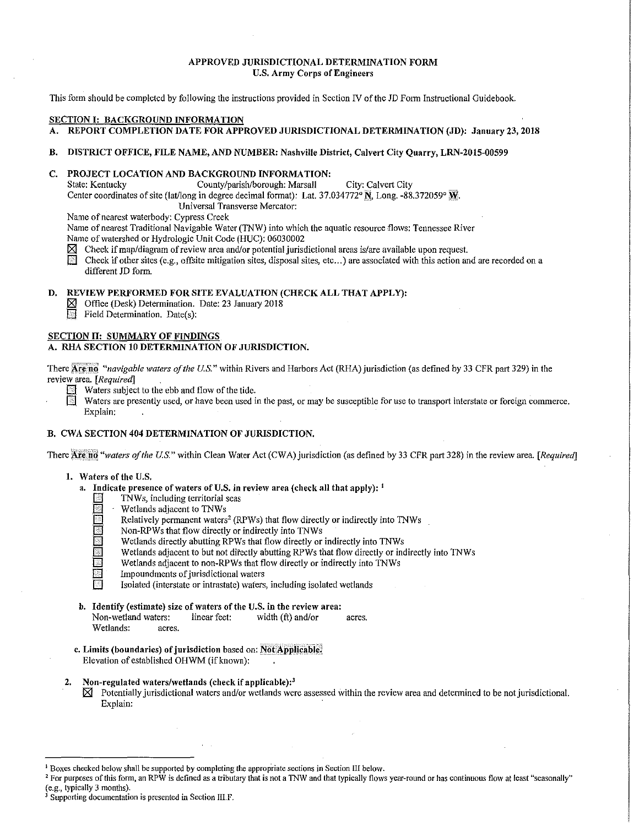#### APPROVED JURISDICTIONAL DETERMINATION FORM U.S. Army Corps of Engineers

This form should be completed by following the instructions provided in Section IV of the JD Form Instructional Guidebook.

## SECTION I: BACKGROUND INFORMATION

A. REPORT COMPLETION DATE FOR APPROVED JURISDICTIONAL DETERMINATION (JD): January 23, 2018

#### B. DISTRICT OFFICE, FILE NAME, AND NUMBER: Nashville District, Calvert City Quarry, LRN-2015-00599

# C. PROJECT LOCATION AND BACKGROUND INFORMATION:<br>State: Kentucky County/parish/borough: Marsall

County/parish/borough: Marsall City: Calvert City Center coordinates of site (lat/long in degree decimal format): Lat. 37.034772°  $\overline{N}$ , Long. -88.372059°  $\overline{N}$ .

Universal Transverse Mercator:

Name of nearest waterbody: Cypress Creek

Name of nearest Traditional Navigable Water (TNW) into which the aquatic resource flows: Tennessee River Name of watershed or Hydrologic Unit Code (HUC): 06030002

 $\boxtimes$  Check if map/diagram of review area and/or potential jurisdictional areas is/are available upon request.<br>
Check if other sites (e.g., offsite mitigation sites, disposal sites, etc...) are associated with this action Check if other sites (e.g., offsite mitigation sites, disposal sites, etc...) are associated with this action and are recorded on a different JD form.

## D. REVIEW PERFORMED FOR SITE EVALUATION (CHECK ALL THAT APPLY):

 $\boxtimes$  Office (Desk) Determination. Date: 23 January 2018<br>
Field Determination. Date(s):

Field Determination. Date(s):

#### SECTION II: SUMMARY OF FINDINGS

## A. RHA SECTION 10 DETERMINATION OF JURISDICTION.

There Are no "navigable waters of the U.S." within Rivers and Harbors Act (RHA) jurisdiction (as defined by 33 CFR part 329) in the review area. *[Required]* 

- Waters subject to the ebb and flow of the tide.
- Waters are presently used, or have been used in the past, or may be susceptible for use to transport interstate or foreign commerce. Explain:

## B. CWA SECTION 404 DETERMINATION OF JURISDICTION.

There **Are no** "waters of the U.S." within Clean Water Act (CWA) jurisdiction (as defined by 33 CFR part 328) in the review area. *[Required]* 

- 1. Waters of the U.S.
	- a. Indicate presence of waters of U.S. in review area (check all that apply):  $<sup>1</sup>$ </sup>
		- TNWs, including territorial seas
		- Wetlands adjacent to TNWs
		- Relatively permanent waters<sup>2</sup> (RPWs) that flow directly or indirectly into TNWs
		- Non-RPWs that flow directly or indirectly into TNWs
		- Wetlands directly abutting RPWs that flow directly or indirectly into TNWs
		- Wetlands adjacent to but not directly abutting RPWs that flow directly or indirectly into TNWs
		- Wetlands adjacent to non-RPWs that flow directly or indirectly into TNWs
		- Impoundments of jurisdictional waters
			- Isolated (interstate or intrastate) waters, including isolated wetlands
	- b. Identify (estimate) size of waters of the U.S. in the review area: Non-wetland waters: linear feet: width (ft) and/or acres. Wetlands: acres.
	- c. Limits (boundaries) of jurisdiction based on: Not Applicable. Elevation of established OHWM (if known):
- 2. Non-regulated waters/wetlands (check if applicable): $<sup>3</sup>$ </sup>
	- $\boxtimes$  Potentially jurisdictional waters and/or wetlands were assessed within the review area and determined to be not jurisdictional. Explain:

<sup>&</sup>lt;sup>1</sup> Boxes checked below shall be supported by completing the appropriate sections in Section III below.<br><sup>2</sup> For purposes of this form, an RPW is defined as a tributary that is not a TNW and that typically flows year-round

 $\frac{3}{3}$  Supporting documentation is presented in Section III.F.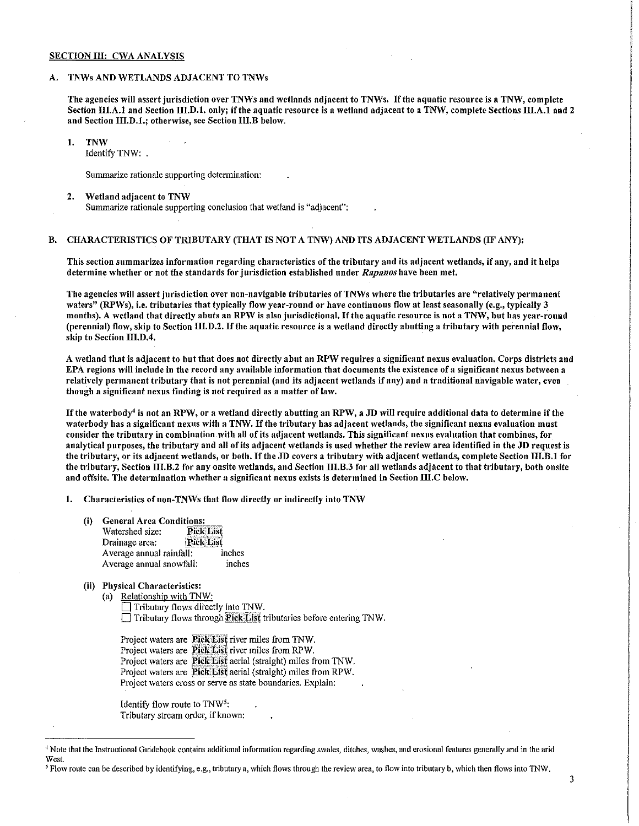#### SECTION III: CWA ANALYSIS

#### A. TNWs AND WETLANDS ADJACENT TO TNWs

The agencies will assert jurisdiction over TNWs and wetlands adjacent to TNWs. If the aquatic resource is a TNW, complete Section III.A.1 and Section III.D.1. only; if the aquatic resource is a wetland adjacent to a TNW, complete Sections III.A.1 and 2 and Section III.D.1.; otherwise, see Section III.B below.

#### 1. TNW

Identify TNW:

Summarize rationale supporting determination:

#### 2. Wetland adjacent to TNW

Summarize rationale supporting conclusion that wetland is "adjacent":

#### B. CHARACTERISTICS OF TRIBUTARY (THAT IS NOT A TNW) AND ITS ADJACENT WETLANDS (IF ANY):

This section summarizes information regarding characteristics of the tributary and its adjacent wetlands, if any, and it helps determine \Vhether or not the standards for jurisdiction established under *Rapanoshave* been met.

The agencies will assert jurisdiction over non-navigable tributaries of TNWs where the tributaries are "relatively permanent waters" (RPWs), i.e. tributaries that typically flow year-round or have continuous flow at least seasonally (e.g., typically 3 months). A wetland that directly abuts an RPW is also jurisdictional. If the aquatic resource is not a TNW, but has year-round (perennial) flow, skip to Section III.D.2. If the aquatic resource is a wetland directly abutting a tributary with perennial flow, skip to Section III.D.4.

A wetland that is adiacent to but that does not directly abut an RPW requires a significant nexus evaluation. Corps districts and EPA regions will include in the record any available information that documents the existence of a significant nexus between a relatively permanent tributary that is not perennial (and its adjacent wetlands if any) and a traditional navigable water, even though a significant nexus finding is not required as a matter of law.

If the waterbody<sup>4</sup> is not an RPW, or a wetland directly abutting an RPW, a JD will require additional data to determine if the waterbody has a significant nexus with a TNW. If the tributary has adjacent wetlands, the significant nexus evaluation must consider the tributary in combination with all of its adjacent wetlands. This significant nexus evaluation that combines, for analytical purposes, the tributary and all of its adjacent wetlands is used whether the review area identified in the JD request is the tributary, or its adjacent wetlands, or both. If the JD covers a tributary with adjacent wetlands, complete Section III.B.1 for the tributary, Section III.B.2 for any onsite wetlands, and Section III.B.3 for all wetlands adjacent to that tributary, both onsite and offsite. The determination whether a significant nexus exists is determined in Section m.c below.

1. Characteristics of non-TNWs that flow directly or indirectly into TNW

- (i) General Area Conditions:<br>Watershed size: Pick List
	- Watershed size: **Pick List** Drainage area: Average annual rainfall: inches Average annual snowfall: inches
- (ii) Physical Characteristics:

(a) Relationship with TNW: Tributary flows directly into TNW.  $\Box$  Tributary flows through Pick List tributaries before entering TNW.

Project waters are **Pick List** river miles from TNW. Project waters are **Pick List** river miles from RPW. Project waters are Pick List aerial (straight) miles from TNW. Project waters are **Pick List** aerial (straight) miles from RPW. Project waters cross or serve as state boundaries. Explain:

Identify flow route to  $TW<sup>5</sup>$ : Tributary stream order, if known:

<sup>4</sup> Note that the Instructional Guidebook contains additional information regarding swales, ditches, washes, and erosional features generally and in the arid West.

<sup>&</sup>lt;sup>5</sup> Flow route can be described by identifying, e.g., tributary a, which flows through the review area, to flow into tributary b, which then flows into TNW.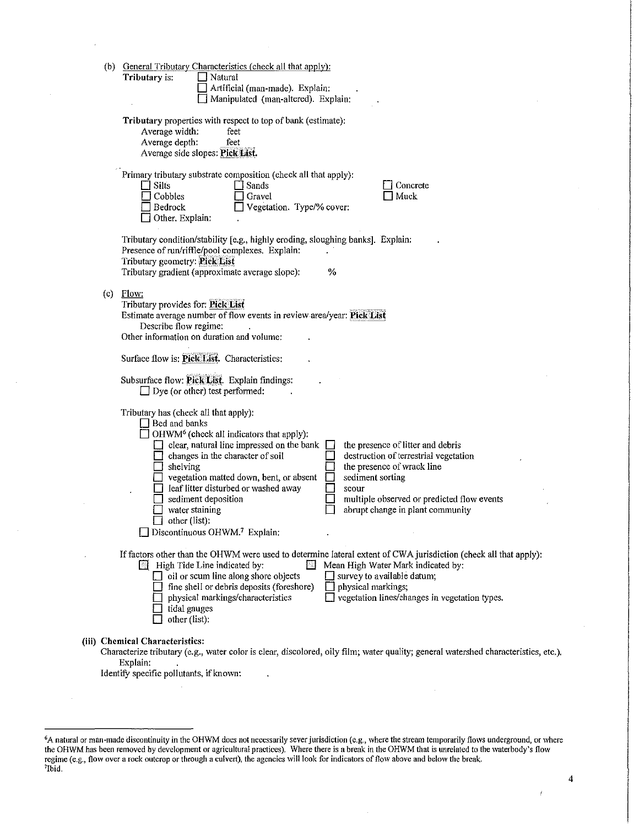|  | (b) General Tributary Characteristics (check all that apply):<br>Tributary is:<br>$\Box$ Natural<br>Artificial (man-made). Explain:<br>Manipulated (man-altered). Explain:                                                                                                                                                                                                                                                                                                                                                                                                                                                                     |
|--|------------------------------------------------------------------------------------------------------------------------------------------------------------------------------------------------------------------------------------------------------------------------------------------------------------------------------------------------------------------------------------------------------------------------------------------------------------------------------------------------------------------------------------------------------------------------------------------------------------------------------------------------|
|  | Tributary properties with respect to top of bank (estimate):<br>Average width:<br>feet<br>Average depth:<br>feet<br>Average side slopes: Pick List.                                                                                                                                                                                                                                                                                                                                                                                                                                                                                            |
|  | Primary tributary substrate composition (check all that apply):<br>$\Box$ Silts<br>Sands<br>Concrete<br>Muck<br>Cobbles<br>Gravel<br>Vegetation. Type/% cover:<br>Bedrock<br>Other. Explain:                                                                                                                                                                                                                                                                                                                                                                                                                                                   |
|  | Tributary condition/stability [e.g., highly eroding, sloughing banks]. Explain:<br>Presence of run/riffle/pool complexes. Explain:<br>Tributary geometry: Pick List<br>Tributary gradient (approximate average slope):<br>%                                                                                                                                                                                                                                                                                                                                                                                                                    |
|  | $(c)$ Flow:<br>Tributary provides for: Pick List<br>Estimate average number of flow events in review area/year: Pick List<br>Describe flow regime:<br>Other information on duration and volume:                                                                                                                                                                                                                                                                                                                                                                                                                                                |
|  | Surface flow is: Pick List. Characteristics:                                                                                                                                                                                                                                                                                                                                                                                                                                                                                                                                                                                                   |
|  | Subsurface flow: Pick List. Explain findings:<br>$\Box$ Dye (or other) test performed:                                                                                                                                                                                                                                                                                                                                                                                                                                                                                                                                                         |
|  | Tributary has (check all that apply):<br>$\Box$ Bed and banks<br>OHWM <sup>6</sup> (check all indicators that apply):<br>clear, natural line impressed on the bank<br>the presence of litter and debris<br>destruction of terrestrial vegetation<br>$\Box$ changes in the character of soil<br>the presence of wrack line<br>shelving<br>vegetation matted down, bent, or absent<br>sediment sorting<br>leaf litter disturbed or washed away<br>scour<br>sediment deposition<br>multiple observed or predicted flow events<br>water staining<br>abrupt change in plant community<br>other (list):<br>Discontinuous OHWM. <sup>7</sup> Explain: |
|  | If factors other than the OHWM were used to determine lateral extent of CWA jurisdiction (check all that apply):<br><b>Ed</b> High Tide Line indicated by:<br>Mean High Water Mark indicated by:<br>FМ<br>$\Box$ oil or scum line along shore objects<br>survey to available datum;<br>fine shell or debris deposits (foreshore)<br>physical markings;<br>vegetation lines/changes in vegetation types.<br>physical markings/characteristics<br>tidal gauges<br>other (list):                                                                                                                                                                  |
|  | (iii) Chemical Characteristics:<br>Characterize tributary (e.g., water color is clear, discolored, oily film; water quality; general watershed characteristics, etc.).<br>Explain:<br>Identify specific pollutants, if known:                                                                                                                                                                                                                                                                                                                                                                                                                  |
|  |                                                                                                                                                                                                                                                                                                                                                                                                                                                                                                                                                                                                                                                |

 $\hat{\boldsymbol{r}}$ 

 $\bar{z}$ 

 $\bar{\alpha}$ 

4

 $\boldsymbol{f}$ 

<sup>6</sup>A natural or man-made discontinuity in the OHWM does not necessarily sever jurisdiction (e.g., where the stream temporarily flows underground, or where the OHWM has been removed by development or agricultural practices). Where there is a break in the OHWM that is unrelated to the waterbody's flow regime (e.g., flow over a rock outcrop or through a culvert), the agencies will look for indicators of flow above and below the break.<br><sup>7</sup>Ibid.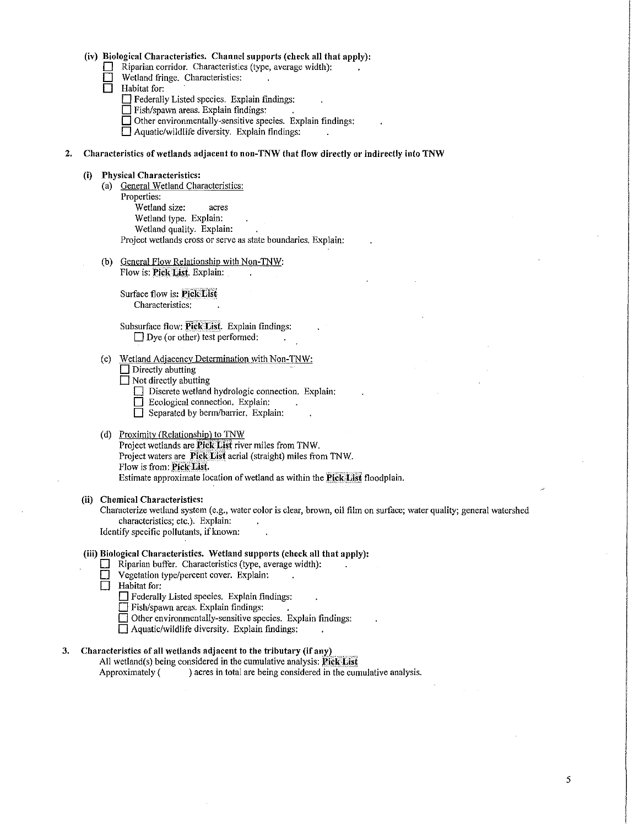# (iv) Biological Characteristics. Channel supports (check all that apply):<br>  $\Box$  Riparian corridor. Characteristics (type, average width):

- Riparian corridor. Characteristics (type, average width):
- $\Box$  Wetland fringe. Characteristics:<br> $\Box$  Habitat for:

Habitat for:

- 
- Gederally Listed species. Explain findings:<br>
Fish/spawn areas. Explain findings: Fish/spawn areas. Explain findings:
- $\Box$  Other environmentally-sensitive species. Explain findings:
- $\Box$  Aquatic/wildlife diversity. Explain findings:

#### 2. Characteristics of wetlands adjacent to non-TNW that flow directly or indirectly into TNW

#### (i) Physical Characteristics:

- (a) General Wetland Characteristics: Properties: Wetland size: acres Wetland type. Explain: Wetland quality. Explain: Project wetlands cross or serve as state boundaries. Explain:
- (b) General Flow Relationship with Non-TNW: Flow is: Pick List. Explain:

Surface flow is: Pick List Characteristics:

Subsurface flow: Pick List. Explain findings:  $\Box$  Dye (or other) test performed:

- ( c) Wetland Adjacency Determination with Non-TNW:
	- $\Box$  Directly abutting
	- $\overline{\Box}$  Not directly abutting
		- Discrete wetland hydrologic connection. Explain:
		- Ecological connection. Explain:
		- $\Box$  Separated by berm/barrier. Explain:

## (d) Proximity (Relationship) to TNW

Project wetlands are Pick List river miles from TNW. Project waters are **Pick List** aerial (straight) miles from TNW. Flow is from: Pick List. Estimate approximate location of wetland as within the **Pick List** floodplain.

(ii) Chemical Characteristics:

Characterize wetland system (e.g., water color is clear, brown, oil film on surface; water quality; general watershed characteristics; etc.). Explain:

Identify specific pollutants, if known:

### (iii) Biological Characteristics. Wetland supports (check all that apply):

- $\Box$  Riparian buffer. Characteristics (type, average width):
- $\Box$  Vegetation type/percent cover. Explain:

 $\Box$  Habitat for:

- $\Box$  Federally Listed species. Explain findings:
- 0 Fish/spawn areas. Explain findings:

 $\Box$  Other environmentally-sensitive species. Explain findings:

 $\Box$  Aquatic/wildlife diversity. Explain findings:

## 3. Characteristics of all wetlands adjacent to the tributary (if any)

All wetland(s) being considered in the cumulative analysis:  $PickList$ Approximately () acres in total are being considered in the cumulative analysis.

5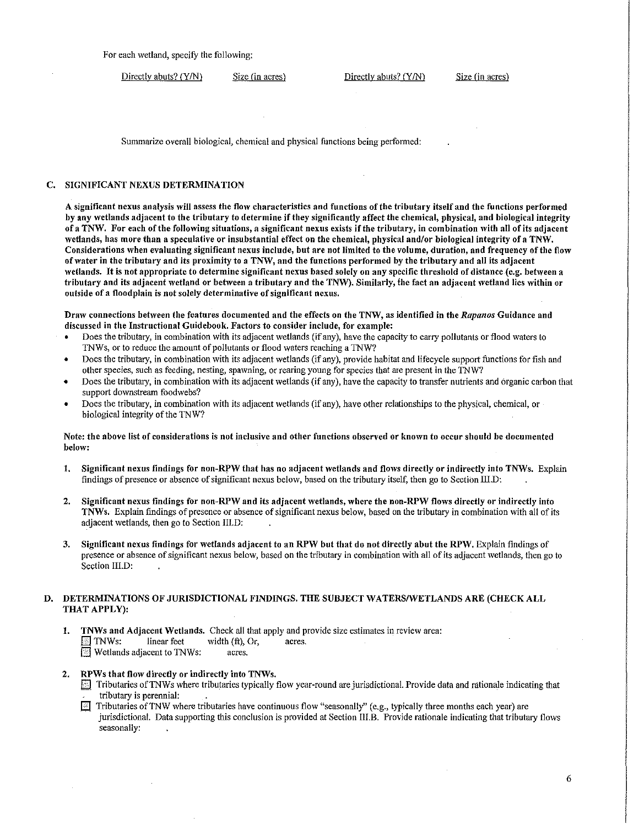For each wetland. specify the following:

Directly abuts? (Y/N) Size (in acres) Directly abuts? (Y/N) Size (in acres)

Summarize overall biological. chemical and physical functions being perfonned:

### C. SIGNIFICANT NEXUS DETERMINATION

A significant nexus analysis will assess the flow characteristics and functions of the tributary itself and the functions performed by any 'vetlands adjacent to the tributary to determine if they significantly affect the chemical, physical, and biological integrity of a TNW. For each of the following situations, a significant nexus exists if the tributary, in combination 'vith all of its adjacent wetlands, has more than a speculative or insubstantial effect on the chemical, physical and/or biological integrity of a TNW. Considerations when evaluating significant nexus include, but are not limited to the volume, duration, and frequency of the flow of water in the tributary and its proximity to a TNW, and the functions performed by the tributary and all its adjacent wetlands. It is not appropriate to determine significant nexus based solely on any specific threshold of distance.(e.g. between a tributary and its adjacent wetland or between a tributary and the TNW). Similarly, the fact an adjacent wetland lies within or outside of a floodplain is not solely determinative of significant nexus.

Draw connections between the features documented and the effects on the TNW, as identified in the *Rapanos* Guidance and discussed in the Instructional Guidebook. Factors to consider include, for example:

- Does the tributary, in combination with its adjacent wetlands (if any), have the capacity to carry pollutants or flood waters to 1NWs, or to reduce the amount of pollutants or flood waters reaching a TNW?
- Does the tributary, in combination with its adjacent wetlands (if any), provide habitat and lifecycle support functions for fish and other species, such as feeding, nesting, spawning, or rearing young for species that are present in the TNW?
- Does the tributary, in combination with its adiacent wetlands (if any), have the capacity to transfer nutrients and organic carbon that support downstream foodwebs?
- Does the tributary, in combination with its adjacent wetlands (if any), have other relationships to the physical, chemical, or biological integrity of the TNW?

Note: the above list of considerations is not inclusive and other functions observed or known to occur should be documented below:

- 1. Significant nexus findings for non-RPW that has no adjacent wetlands and flows directly or indirectly into TNWs. Explain findings of presence or absence of significant nexus below, based on the tributary itself, then go to Section III.D:
- 2. Significant nexus findings for non-RPW and its adjacent wetlands, where the non-RPW flows directly or indirectly into TNWs. Explain findings of presence or absence of significant nexus below, based on the tributary in combination \Vith all of its adjacent wetlands, then go to Section III.D:
- 3. Significant nexus findings for wetlands adjacent to an RPW but that do not directly abut the RPW. Explain findings of presence or absence of significant nexus below, based on the tributary in combination with all of its adjacent wetlands, then go to Section III.D:

## D. DETERMINATIONS OF JURISDICTIONAL FINDINGS. THE SUBJECT WATERS/WETLANDS ARE (CHECK ALL THAT APPLY):

- 1. TNWs and Adjacent Wetlands. Check all that apply and provide size estimates in review area:<br> $\boxed{\text{S}}$  TNWs: linear feet width (ft), Or, acres.  $\boxed{\phantom{1}}$  TNWs: linear feet width (ft), Or, acres. **I**] Wetlands adjacent to TNWs: acres.
- 2. RPWs that flow directly or indirectly into TNWs.
	- $\Box$  Tributaries of TNWs where tributaries typically flow year-round are jurisdictional. Provide data and rationale indicating that tributary is perennial:
	- FI Tributaries of TNW where tributaries have continuous flow "seasonally" (e.g., typically three months each year) are jurisdictional. Data supporting this conclusion is provided at Section III.B. Provide rationale indicating that tributary flows seasonally: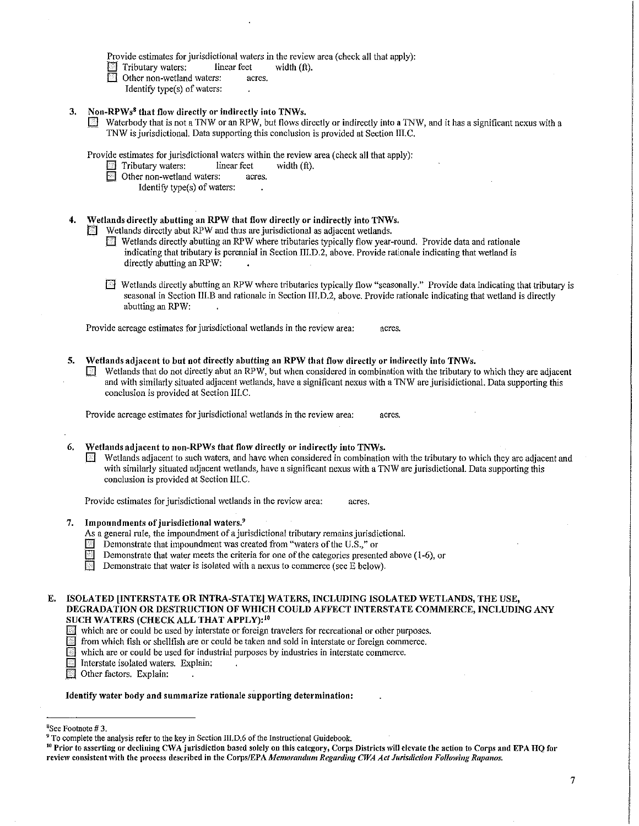Provide estimates for jurisdictional waters in the review area (check all that apply):

 $\Box$  Tributary waters: linear feet width (ft).

- Other non-wetland waters:
	- Identify type(s) of waters:
- 3. Non-RPWs8 that flow directly or indirectly into TNWs.
	- Waterbody that is not a TNW or an RPW, but flows directly or indirectly into a TNW, and it has a significant nexus with a TNW is jurisdictional. Data supporting this conclusion is provided at Section III.C.

Provide estimates for jurisdictional waters within the review area (check all that apply):<br>
Tributary waters: linear feet width (ft).<br>
Dther non-wetland waters: acres.

- Tributary waters: linear feet<br>Other non-wetland waters: acres.
- Other non-wetland waters:
	- Identify type(s) of waters:
- 4. Wetlands directly abutting an RPW that flow directly or indirectly into TNWs.
	- Wetlands directly abut RPW and thus are jurisdictional as adjacent wetlands.
		- [] Wetlands directly abutting an RPW where tributaries typically flow year-round. Provide data and rationale indicating that tributary is perennial in Section III.D.2, above. Provide rationale indicating that wetland is directly abutting an RPW:
		- [] Wetlands directly abutting an RPW where tributaries typically flow "seasonally." Provide data indicating that tributary is seasonal in Section III.B and rationale in Section III.D.2, above. Provide rationale indicating that wetland is directly abutting an RPW:

Provide acreage estimates for jurisdictional wetlands in the review area: acres.

5. Wetlands adjacent to but not directly abutting an RPW that flow directly or indirectly into TNWs.  $\Box$  Wetlands that do not directly abut an RPW, but when considered in combination with the tributary to which they are adjacent and with similarly situated adjacent wetlands, have a significant nexus with a TNW are jurisidictional. Data supporting this conclusion is provided at Section III.C.

Provide acreage estimates for jurisdictional wetlands in the review area: acres.

- Wetlands adjacent to non-RPWs that flow directly or indirectly into TNWs.
	- Wetlands adjacent to such waters, and have when considered in combination with the tributary to which they are adjacent and with similarly situated adjacent wetlands, have a significant nexus with a TNW are jurisdictional. Data supporting this conclusion is provided at Section III.C.

Provide estimates for jurisdictional wetlands in the review area: acres.

- 7. Impoundments of jurisdictional waters.<sup>9</sup>
	- As a general rule, the impoundment of a jurisdictional tributary remains jurisdictional.
	- $\Box$  Demonstrate that impoundment was created from "waters of the U.S.," or
		- Demonstrate that water meets the criteria for one of the categories presented above (1-6), or
	- Demonstrate that water is isolated with a nexus to commerce (see  $\overline{E}$  below).
- E. ISOLATED [INTERSTATE OR INTRA-STATE] WATERS, INCLUDING ISOLATED WETLANDS, THE USE, DEGRADATION OR DESTRUCTION OF WHICH COULD AFFECT INTERSTATE COMMERCE, INCLUDING ANY SUCH WATERS (CHECK ALL THAT APPLY): <sup>10</sup>
	- [] \Vhich are or could be used by interstate or foreign travelers for recreational or other purposes.
	- El from which fish or shellfish are or could be taken and sold in interstate or foreign commerce.
	- $\Box$  which are or could be used for industrial purposes by industries in interstate commerce.
	- Interstate isolated waters. Explain:
	- **iil** Other factors. Explain:

Identify water body and summarize rationale supporting determination:

<sup>&</sup>lt;sup>8</sup>See Footnote #3.

<sup>&</sup>lt;sup>9</sup> To complete the analysis refer to the key in Section III.D.6 of the Instructional Guidebook.<br><sup>10</sup> Prior to asserting or declining CWA jurisdiction based solely on this category, Corps Districts will elevate the action review consistent with the process described in the Corps/EPA Memorandum Regarding CWA Act Jurisdiction Following Rapanos.